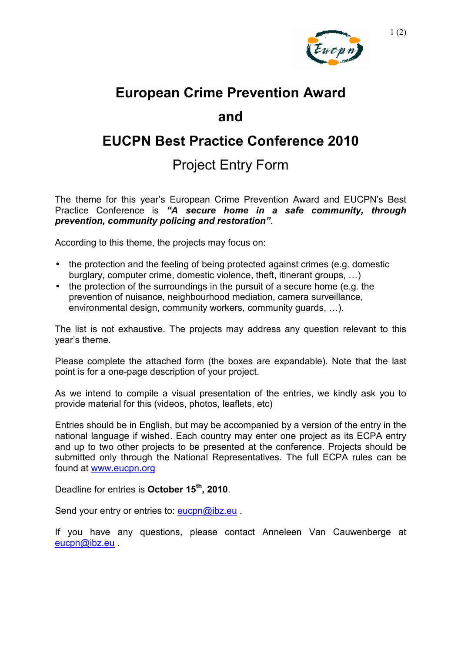

# **European Crime Prevention Award**

## **and**

# **EUCPN Best Practice Conference 2010**

# Project Entry Form

The theme for this year's European Crime Prevention Award and EUCPN's Best Practice Conference is *"A secure home in a safe community, through prevention, community policing and restoration"*.

According to this theme, the projects may focus on:

- the protection and the feeling of being protected against crimes (e.g. domestic burglary, computer crime, domestic violence, theft, itinerant groups, …)
- the protection of the surroundings in the pursuit of a secure home (e.g. the prevention of nuisance, neighbourhood mediation, camera surveillance, environmental design, community workers, community guards, …).

The list is not exhaustive. The projects may address any question relevant to this year's theme.

Please complete the attached form (the boxes are expandable). Note that the last point is for a one-page description of your project.

As we intend to compile a visual presentation of the entries, we kindly ask you to provide material for this (videos, photos, leaflets, etc)

Entries should be in English, but may be accompanied by a version of the entry in the national language if wished. Each country may enter one project as its ECPA entry and up to two other projects to be presented at the conference. Projects should be submitted only through the National Representatives. The full ECPA rules can be found at www.eucpn.org

Deadline for entries is **October 15th, 2010**.

Send your entry or entries to: eucpn@ibz.eu.

If you have any questions, please contact Anneleen Van Cauwenberge at eucpn@ibz.eu .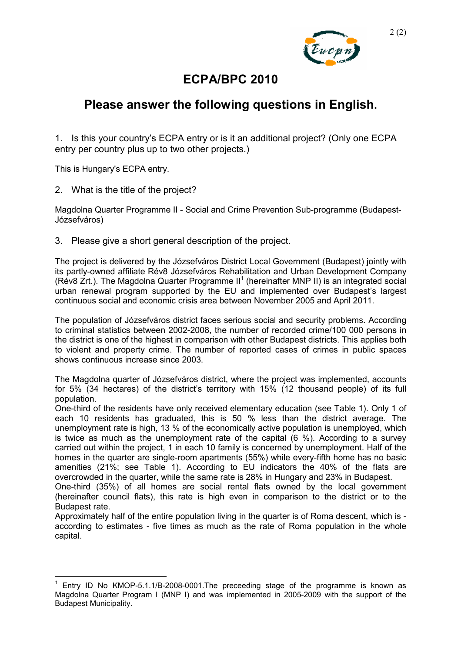

## **ECPA/BPC 2010**

## **Please answer the following questions in English.**

1. Is this your country's ECPA entry or is it an additional project? (Only one ECPA entry per country plus up to two other projects.)

This is Hungary's ECPA entry.

2. What is the title of the project?

Magdolna Quarter Programme II - Social and Crime Prevention Sub-programme (Budapest-Józsefváros)

3. Please give a short general description of the project.

The project is delivered by the Józsefváros District Local Government (Budapest) jointly with its partly-owned affiliate Rév8 Józsefváros Rehabilitation and Urban Development Company (Rév8 Zrt.). The Magdolna Quarter Programme  $II^1$  (hereinafter MNP II) is an integrated social urban renewal program supported by the EU and implemented over Budapest's largest continuous social and economic crisis area between November 2005 and April 2011.

The population of Józsefváros district faces serious social and security problems. According to criminal statistics between 2002-2008, the number of recorded crime/100 000 persons in the district is one of the highest in comparison with other Budapest districts. This applies both to violent and property crime. The number of reported cases of crimes in public spaces shows continuous increase since 2003.

The Magdolna quarter of Józsefváros district, where the project was implemented, accounts for 5% (34 hectares) of the district's territory with 15% (12 thousand people) of its full population.

One-third of the residents have only received elementary education (see Table 1). Only 1 of each 10 residents has graduated, this is 50 % less than the district average. The unemployment rate is high, 13 % of the economically active population is unemployed, which is twice as much as the unemployment rate of the capital (6 %). According to a survey carried out within the project, 1 in each 10 family is concerned by unemployment. Half of the homes in the quarter are single-room apartments (55%) while every-fifth home has no basic amenities (21%; see Table 1). According to EU indicators the 40% of the flats are overcrowded in the quarter, while the same rate is 28% in Hungary and 23% in Budapest.

One-third (35%) of all homes are social rental flats owned by the local government (hereinafter council flats), this rate is high even in comparison to the district or to the Budapest rate.

Approximately half of the entire population living in the quarter is of Roma descent, which is according to estimates - five times as much as the rate of Roma population in the whole capital.

 $1$  Entry ID No KMOP-5.1.1/B-2008-0001. The preceeding stage of the programme is known as Magdolna Quarter Program I (MNP I) and was implemented in 2005-2009 with the support of the Budapest Municipality.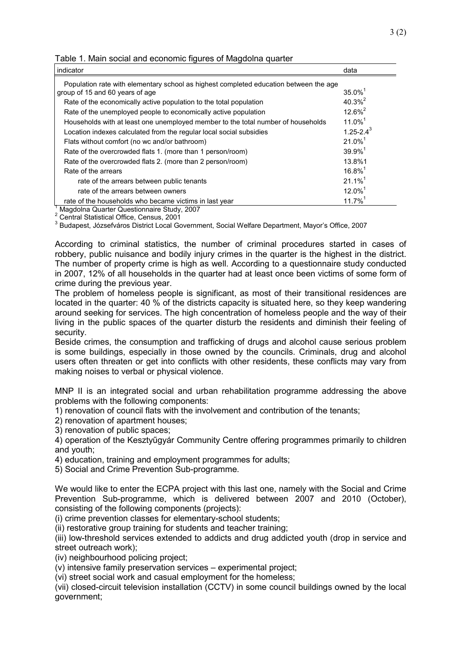| indicator                                                                             | data                  |
|---------------------------------------------------------------------------------------|-----------------------|
| Population rate with elementary school as highest completed education between the age |                       |
| group of 15 and 60 years of age                                                       | $35.0\%$ <sup>1</sup> |
| Rate of the economically active population to the total population                    | $40.3\%^{2}$          |
| Rate of the unemployed people to economically active population                       | $12.6\%^{2}$          |
| Households with at least one unemployed member to the total number of households      | $11.0\%$ <sup>1</sup> |
| Location indexes calculated from the regular local social subsidies                   | $1.25 - 2.4^3$        |
| Flats without comfort (no wc and/or bathroom)                                         | $21.0\%$ <sup>1</sup> |
| Rate of the overcrowded flats 1. (more than 1 person/room)                            | $39.9\%$ <sup>1</sup> |
| Rate of the overcrowded flats 2. (more than 2 person/room)                            | 13.8%1                |
| Rate of the arrears                                                                   | $16.8\%$ <sup>1</sup> |
| rate of the arrears between public tenants                                            | $21.1\%$ <sup>1</sup> |
| rate of the arrears between owners                                                    | $12.0\%$ <sup>1</sup> |
| rate of the households who became victims in last year                                | $11.7\%$ <sup>1</sup> |

Table 1. Main social and economic figures of Magdolna quarter

<sup>1</sup> Magdolna Quarter Questionnaire Study, 2007<br>
<sup>2</sup> Central Statistical Office, Census, 2001<br>
<sup>3</sup> Budapest, Józsefváros District Local Government, Social Welfare Department, Mayor's Office, 2007

According to criminal statistics, the number of criminal procedures started in cases of robbery, public nuisance and bodily injury crimes in the quarter is the highest in the district. The number of property crime is high as well. According to a questionnaire study conducted in 2007, 12% of all households in the quarter had at least once been victims of some form of crime during the previous year.

The problem of homeless people is significant, as most of their transitional residences are located in the quarter: 40 % of the districts capacity is situated here, so they keep wandering around seeking for services. The high concentration of homeless people and the way of their living in the public spaces of the quarter disturb the residents and diminish their feeling of security.

Beside crimes, the consumption and trafficking of drugs and alcohol cause serious problem is some buildings, especially in those owned by the councils. Criminals, drug and alcohol users often threaten or get into conflicts with other residents, these conflicts may vary from making noises to verbal or physical violence.

MNP II is an integrated social and urban rehabilitation programme addressing the above problems with the following components:

1) renovation of council flats with the involvement and contribution of the tenants;

2) renovation of apartment houses;

3) renovation of public spaces;

4) operation of the Kesztyűgyár Community Centre offering programmes primarily to children and youth;

4) education, training and employment programmes for adults;

5) Social and Crime Prevention Sub-programme.

We would like to enter the ECPA project with this last one, namely with the Social and Crime Prevention Sub-programme, which is delivered between 2007 and 2010 (October), consisting of the following components (projects):

(i) crime prevention classes for elementary-school students;

(ii) restorative group training for students and teacher training;

(iii) low-threshold services extended to addicts and drug addicted youth (drop in service and street outreach work);

(iv) neighbourhood policing project;

(v) intensive family preservation services – experimental project;

(vi) street social work and casual employment for the homeless;

(vii) closed-circuit television installation (CCTV) in some council buildings owned by the local government;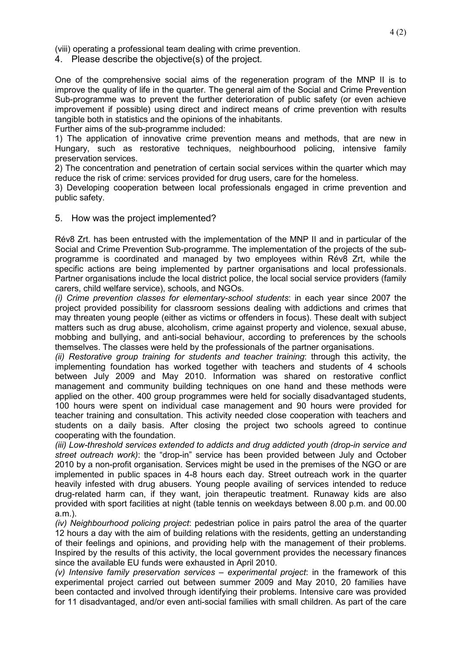(viii) operating a professional team dealing with crime prevention.

4. Please describe the objective(s) of the project.

One of the comprehensive social aims of the regeneration program of the MNP II is to improve the quality of life in the quarter. The general aim of the Social and Crime Prevention Sub-programme was to prevent the further deterioration of public safety (or even achieve improvement if possible) using direct and indirect means of crime prevention with results tangible both in statistics and the opinions of the inhabitants.

Further aims of the sub-programme included:

1) The application of innovative crime prevention means and methods, that are new in Hungary, such as restorative techniques, neighbourhood policing, intensive family preservation services.

2) The concentration and penetration of certain social services within the quarter which may reduce the risk of crime: services provided for drug users, care for the homeless.

3) Developing cooperation between local professionals engaged in crime prevention and public safety.

### 5. How was the project implemented?

Rév8 Zrt. has been entrusted with the implementation of the MNP II and in particular of the Social and Crime Prevention Sub-programme. The implementation of the projects of the subprogramme is coordinated and managed by two employees within Rév8 Zrt, while the specific actions are being implemented by partner organisations and local professionals. Partner organisations include the local district police, the local social service providers (family carers, child welfare service), schools, and NGOs.

*(i) Crime prevention classes for elementary-school students*: in each year since 2007 the project provided possibility for classroom sessions dealing with addictions and crimes that may threaten young people (either as victims or offenders in focus). These dealt with subject matters such as drug abuse, alcoholism, crime against property and violence, sexual abuse, mobbing and bullying, and anti-social behaviour, according to preferences by the schools themselves. The classes were held by the professionals of the partner organisations.

*(ii) Restorative group training for students and teacher training*: through this activity, the implementing foundation has worked together with teachers and students of 4 schools between July 2009 and May 2010. Information was shared on restorative conflict management and community building techniques on one hand and these methods were applied on the other. 400 group programmes were held for socially disadvantaged students, 100 hours were spent on individual case management and 90 hours were provided for teacher training and consultation. This activity needed close cooperation with teachers and students on a daily basis. After closing the project two schools agreed to continue cooperating with the foundation.

*(iii) Low-threshold services extended to addicts and drug addicted youth (drop-in service and street outreach work)*: the "drop-in" service has been provided between July and October 2010 by a non-profit organisation. Services might be used in the premises of the NGO or are implemented in public spaces in 4-8 hours each day. Street outreach work in the quarter heavily infested with drug abusers. Young people availing of services intended to reduce drug-related harm can, if they want, join therapeutic treatment. Runaway kids are also provided with sport facilities at night (table tennis on weekdays between 8.00 p.m. and 00.00  $am)$ 

*(iv) Neighbourhood policing project*: pedestrian police in pairs patrol the area of the quarter 12 hours a day with the aim of building relations with the residents, getting an understanding of their feelings and opinions, and providing help with the management of their problems. Inspired by the results of this activity, the local government provides the necessary finances since the available EU funds were exhausted in April 2010.

*(v) Intensive family preservation services – experimental project*: in the framework of this experimental project carried out between summer 2009 and May 2010, 20 families have been contacted and involved through identifying their problems. Intensive care was provided for 11 disadvantaged, and/or even anti-social families with small children. As part of the care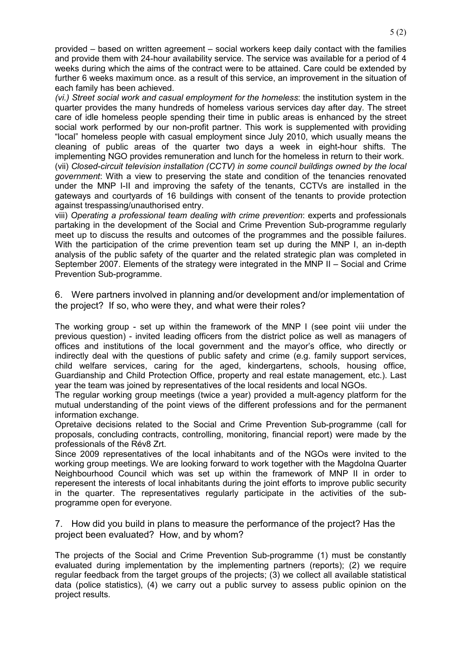provided – based on written agreement – social workers keep daily contact with the families and provide them with 24-hour availability service. The service was available for a period of 4 weeks during which the aims of the contract were to be attained. Care could be extended by further 6 weeks maximum once. as a result of this service, an improvement in the situation of each family has been achieved.

*(vi.) Street social work and casual employment for the homeless*: the institution system in the quarter provides the many hundreds of homeless various services day after day. The street care of idle homeless people spending their time in public areas is enhanced by the street social work performed by our non-profit partner. This work is supplemented with providing "local" homeless people with casual employment since July 2010, which usually means the cleaning of public areas of the quarter two days a week in eight-hour shifts. The implementing NGO provides remuneration and lunch for the homeless in return to their work.

(vii) *Closed-circuit television installation (CCTV) in some council buildings owned by the local government*: With a view to preserving the state and condition of the tenancies renovated under the MNP I-II and improving the safety of the tenants, CCTVs are installed in the gateways and courtyards of 16 buildings with consent of the tenants to provide protection against trespassing/unauthorised entry.

viii) *Operating a professional team dealing with crime prevention*: experts and professionals partaking in the development of the Social and Crime Prevention Sub-programme regularly meet up to discuss the results and outcomes of the programmes and the possible failures. With the participation of the crime prevention team set up during the MNP I, an in-depth analysis of the public safety of the quarter and the related strategic plan was completed in September 2007. Elements of the strategy were integrated in the MNP II – Social and Crime Prevention Sub-programme.

6. Were partners involved in planning and/or development and/or implementation of the project? If so, who were they, and what were their roles?

The working group - set up within the framework of the MNP I (see point viii under the previous question) - invited leading officers from the district police as well as managers of offices and institutions of the local government and the mayor's office, who directly or indirectly deal with the questions of public safety and crime (e.g. family support services, child welfare services, caring for the aged, kindergartens, schools, housing office, Guardianship and Child Protection Office, property and real estate management, etc.). Last year the team was joined by representatives of the local residents and local NGOs.

The regular working group meetings (twice a year) provided a mult-agency platform for the mutual understanding of the point views of the different professions and for the permanent information exchange.

Opretaive decisions related to the Social and Crime Prevention Sub-programme (call for proposals, concluding contracts, controlling, monitoring, financial report) were made by the professionals of the Rév8 Zrt.

Since 2009 representatives of the local inhabitants and of the NGOs were invited to the working group meetings. We are looking forward to work together with the Magdolna Quarter Neighbourhood Council which was set up within the framework of MNP II in order to reperesent the interests of local inhabitants during the joint efforts to improve public security in the quarter. The representatives regularly participate in the activities of the subprogramme open for everyone.

7. How did you build in plans to measure the performance of the project? Has the project been evaluated? How, and by whom?

The projects of the Social and Crime Prevention Sub-programme (1) must be constantly evaluated during implementation by the implementing partners (reports); (2) we require regular feedback from the target groups of the projects; (3) we collect all available statistical data (police statistics), (4) we carry out a public survey to assess public opinion on the project results.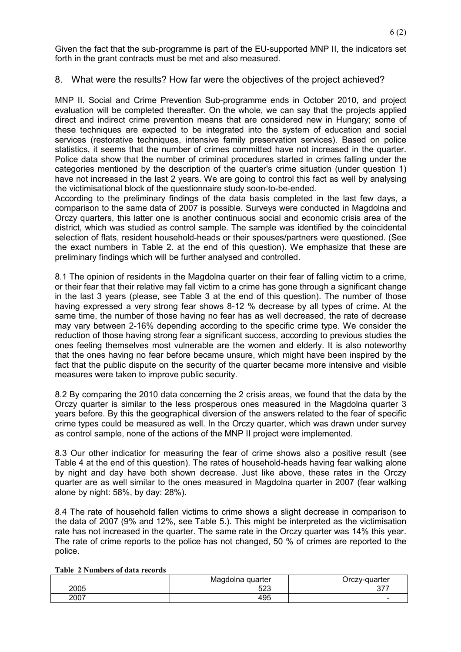Given the fact that the sub-programme is part of the EU-supported MNP II, the indicators set forth in the grant contracts must be met and also measured.

### 8. What were the results? How far were the objectives of the project achieved?

MNP II. Social and Crime Prevention Sub-programme ends in October 2010, and project evaluation will be completed thereafter. On the whole, we can say that the projects applied direct and indirect crime prevention means that are considered new in Hungary; some of these techniques are expected to be integrated into the system of education and social services (restorative techniques, intensive family preservation services). Based on police statistics, it seems that the number of crimes committed have not increased in the quarter. Police data show that the number of criminal procedures started in crimes falling under the categories mentioned by the description of the quarter's crime situation (under question 1) have not increased in the last 2 years. We are going to control this fact as well by analysing the victimisational block of the questionnaire study soon-to-be-ended.

According to the preliminary findings of the data basis completed in the last few days, a comparison to the same data of 2007 is possible. Surveys were conducted in Magdolna and Orczy quarters, this latter one is another continuous social and economic crisis area of the district, which was studied as control sample. The sample was identified by the coincidental selection of flats, resident household-heads or their spouses/partners were questioned. (See the exact numbers in Table 2. at the end of this question). We emphasize that these are preliminary findings which will be further analysed and controlled.

8.1 The opinion of residents in the Magdolna quarter on their fear of falling victim to a crime, or their fear that their relative may fall victim to a crime has gone through a significant change in the last 3 years (please, see Table 3 at the end of this question). The number of those having expressed a very strong fear shows 8-12 % decrease by all types of crime. At the same time, the number of those having no fear has as well decreased, the rate of decrease may vary between 2-16% depending according to the specific crime type. We consider the reduction of those having strong fear a significant success, according to previous studies the ones feeling themselves most vulnerable are the women and elderly. It is also noteworthy that the ones having no fear before became unsure, which might have been inspired by the fact that the public dispute on the security of the quarter became more intensive and visible measures were taken to improve public security.

8.2 By comparing the 2010 data concerning the 2 crisis areas, we found that the data by the Orczy quarter is similar to the less prosperous ones measured in the Magdolna quarter 3 years before. By this the geographical diversion of the answers related to the fear of specific crime types could be measured as well. In the Orczy quarter, which was drawn under survey as control sample, none of the actions of the MNP II project were implemented.

8.3 Our other indicatior for measuring the fear of crime shows also a positive result (see Table 4 at the end of this question). The rates of household-heads having fear walking alone by night and day have both shown decrease. Just like above, these rates in the Orczy quarter are as well similar to the ones measured in Magdolna quarter in 2007 (fear walking alone by night: 58%, by day: 28%).

8.4 The rate of household fallen victims to crime shows a slight decrease in comparison to the data of 2007 (9% and 12%, see Table 5.). This might be interpreted as the victimisation rate has not increased in the quarter. The same rate in the Orczy quarter was 14% this year. The rate of crime reports to the police has not changed, 50 % of crimes are reported to the police.

|      | Magdolna guarter | Orczy-guarter            |
|------|------------------|--------------------------|
| 2005 | 523              | $\sim$<br>ັ              |
| 2007 | 495              | $\overline{\phantom{0}}$ |

#### **Table 2 Numbers of data records**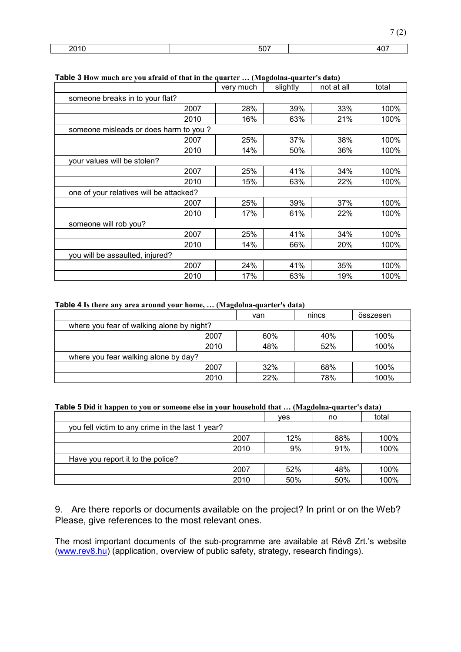| - | . |  |
|---|---|--|
|   |   |  |

| ruwiv v flow much arc you all alu of that in the quarter  (Plaguoma-quarter 3 uata) | very much | slightly | not at all | total |
|-------------------------------------------------------------------------------------|-----------|----------|------------|-------|
| someone breaks in to your flat?                                                     |           |          |            |       |
| 2007                                                                                | 28%       | 39%      | 33%        | 100%  |
| 2010                                                                                | 16%       | 63%      | 21%        | 100%  |
| someone misleads or does harm to you?                                               |           |          |            |       |
| 2007                                                                                | 25%       | 37%      | 38%        | 100%  |
| 2010                                                                                | 14%       | 50%      | 36%        | 100%  |
| your values will be stolen?                                                         |           |          |            |       |
| 2007                                                                                | 25%       | 41%      | 34%        | 100%  |
| 2010                                                                                | 15%       | 63%      | 22%        | 100%  |
| one of your relatives will be attacked?                                             |           |          |            |       |
| 2007                                                                                | 25%       | 39%      | 37%        | 100%  |
| 2010                                                                                | 17%       | 61%      | 22%        | 100%  |
| someone will rob you?                                                               |           |          |            |       |
| 2007                                                                                | 25%       | 41%      | 34%        | 100%  |
| 2010                                                                                | 14%       | 66%      | 20%        | 100%  |
| you will be assaulted, injured?                                                     |           |          |            |       |
| 2007                                                                                | 24%       | 41%      | 35%        | 100%  |
| 2010                                                                                | 17%       | 63%      | 19%        | 100%  |

#### **Table 3 How much are you afraid of that in the quarter … (Magdolna-quarter's data)**

#### **Table 4 Is there any area around your home, … (Magdolna-quarter's data)**

|                                           | van | nincs | összesen |  |
|-------------------------------------------|-----|-------|----------|--|
| where you fear of walking alone by night? |     |       |          |  |
| 2007                                      | 60% | 40%   | 100%     |  |
| 2010                                      | 48% | 52%   | 100%     |  |
| where you fear walking alone by day?      |     |       |          |  |
| 2007                                      | 32% | 68%   | 100%     |  |
| 2010                                      | 22% | 78%   | 100%     |  |

#### **Table 5 Did it happen to you or someone else in your household that … (Magdolna-quarter's data)**

|                                                  |      | ves | no  | total |
|--------------------------------------------------|------|-----|-----|-------|
| you fell victim to any crime in the last 1 year? |      |     |     |       |
|                                                  | 2007 | 12% | 88% | 100%  |
|                                                  | 2010 | 9%  | 91% | 100%  |
| Have you report it to the police?                |      |     |     |       |
|                                                  | 2007 | 52% | 48% | 100%  |
|                                                  | 2010 | 50% | 50% | 100%  |

9. Are there reports or documents available on the project? In print or on the Web? Please, give references to the most relevant ones.

The most important documents of the sub-programme are available at Rév8 Zrt.'s website (www.rev8.hu) (application, overview of public safety, strategy, research findings).

7 (2)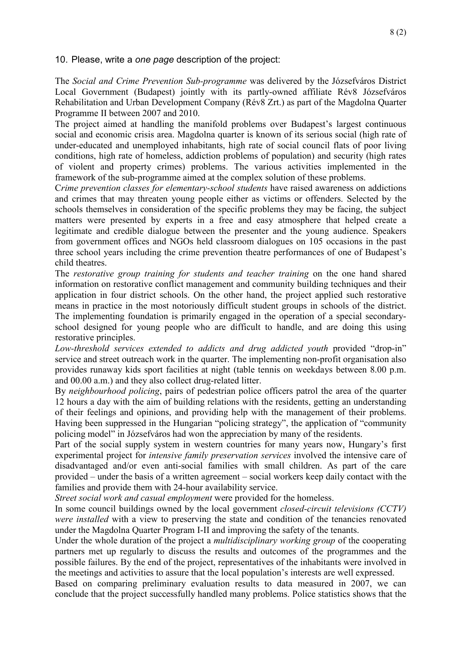### 10. Please, write a *one page* description of the project:

The *Social and Crime Prevention Sub-programme* was delivered by the Józsefváros District Local Government (Budapest) jointly with its partly-owned affiliate Rév8 Józsefváros Rehabilitation and Urban Development Company (Rév8 Zrt.) as part of the Magdolna Quarter Programme II between 2007 and 2010.

The project aimed at handling the manifold problems over Budapest's largest continuous social and economic crisis area. Magdolna quarter is known of its serious social (high rate of under-educated and unemployed inhabitants, high rate of social council flats of poor living conditions, high rate of homeless, addiction problems of population) and security (high rates of violent and property crimes) problems. The various activities implemented in the framework of the sub-programme aimed at the complex solution of these problems.

C*rime prevention classes for elementary-school students* have raised awareness on addictions and crimes that may threaten young people either as victims or offenders. Selected by the schools themselves in consideration of the specific problems they may be facing, the subject matters were presented by experts in a free and easy atmosphere that helped create a legitimate and credible dialogue between the presenter and the young audience. Speakers from government offices and NGOs held classroom dialogues on 105 occasions in the past three school years including the crime prevention theatre performances of one of Budapest's child theatres.

The *restorative group training for students and teacher training* on the one hand shared information on restorative conflict management and community building techniques and their application in four district schools. On the other hand, the project applied such restorative means in practice in the most notoriously difficult student groups in schools of the district. The implementing foundation is primarily engaged in the operation of a special secondaryschool designed for young people who are difficult to handle, and are doing this using restorative principles.

*Low-threshold services extended to addicts and drug addicted youth* provided "drop-in" service and street outreach work in the quarter. The implementing non-profit organisation also provides runaway kids sport facilities at night (table tennis on weekdays between 8.00 p.m. and 00.00 a.m.) and they also collect drug-related litter.

By *neighbourhood policing*, pairs of pedestrian police officers patrol the area of the quarter 12 hours a day with the aim of building relations with the residents, getting an understanding of their feelings and opinions, and providing help with the management of their problems. Having been suppressed in the Hungarian "policing strategy", the application of "community policing model" in Józsefváros had won the appreciation by many of the residents.

Part of the social supply system in western countries for many years now, Hungary's first experimental project for *intensive family preservation services* involved the intensive care of disadvantaged and/or even anti-social families with small children. As part of the care provided – under the basis of a written agreement – social workers keep daily contact with the families and provide them with 24-hour availability service.

*Street social work and casual employment* were provided for the homeless.

In some council buildings owned by the local government *closed-circuit televisions (CCTV) were installed* with a view to preserving the state and condition of the tenancies renovated under the Magdolna Quarter Program I-II and improving the safety of the tenants.

Under the whole duration of the project a *multidisciplinary working group* of the cooperating partners met up regularly to discuss the results and outcomes of the programmes and the possible failures. By the end of the project, representatives of the inhabitants were involved in the meetings and activities to assure that the local population's interests are well expressed.

Based on comparing preliminary evaluation results to data measured in 2007, we can conclude that the project successfully handled many problems. Police statistics shows that the